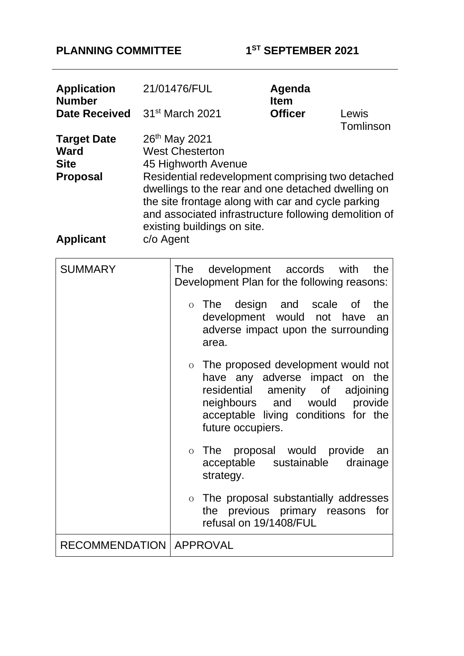# **PLANNING COMMITTEE 1**

**ST SEPTEMBER 2021** 

| <b>Application</b><br><b>Number</b>                                              |           | 21/01476/FUL                                                                                                                                                                                                                                                                                                                        |                                                                                                | Agenda<br><b>Item</b>                                                                                                                                                                                                                                                                                                                                                                                                                                    |                                                            |
|----------------------------------------------------------------------------------|-----------|-------------------------------------------------------------------------------------------------------------------------------------------------------------------------------------------------------------------------------------------------------------------------------------------------------------------------------------|------------------------------------------------------------------------------------------------|----------------------------------------------------------------------------------------------------------------------------------------------------------------------------------------------------------------------------------------------------------------------------------------------------------------------------------------------------------------------------------------------------------------------------------------------------------|------------------------------------------------------------|
| <b>Date Received</b>                                                             |           | 31 <sup>st</sup> March 2021<br><b>Officer</b>                                                                                                                                                                                                                                                                                       |                                                                                                |                                                                                                                                                                                                                                                                                                                                                                                                                                                          | Lewis<br>Tomlinson                                         |
| <b>Target Date</b><br><b>Ward</b><br><b>Site</b><br>Proposal<br><b>Applicant</b> | c/o Agent | 26 <sup>th</sup> May 2021<br><b>West Chesterton</b><br>45 Highworth Avenue<br>Residential redevelopment comprising two detached<br>dwellings to the rear and one detached dwelling on<br>the site frontage along with car and cycle parking<br>and associated infrastructure following demolition of<br>existing buildings on site. |                                                                                                |                                                                                                                                                                                                                                                                                                                                                                                                                                                          |                                                            |
| <b>SUMMARY</b>                                                                   |           | <b>The</b><br>$\overline{O}$<br>$\overline{O}$<br>$\overline{O}$                                                                                                                                                                                                                                                                    | area.<br>residential<br>neighbours<br>future occupiers.<br>strategy.<br>refusal on 19/1408/FUL | development accords with<br>Development Plan for the following reasons:<br>o The design and scale<br>development would not have<br>adverse impact upon the surrounding<br>The proposed development would not<br>have any adverse impact on the<br>amenity of<br>and would<br>acceptable living conditions for the<br>The proposal would provide an<br>acceptable sustainable<br>The proposal substantially addresses<br>the previous primary reasons for | the<br>the<br>0f<br>an<br>adjoining<br>provide<br>drainage |
| <b>RECOMMENDATION   APPROVAL</b>                                                 |           |                                                                                                                                                                                                                                                                                                                                     |                                                                                                |                                                                                                                                                                                                                                                                                                                                                                                                                                                          |                                                            |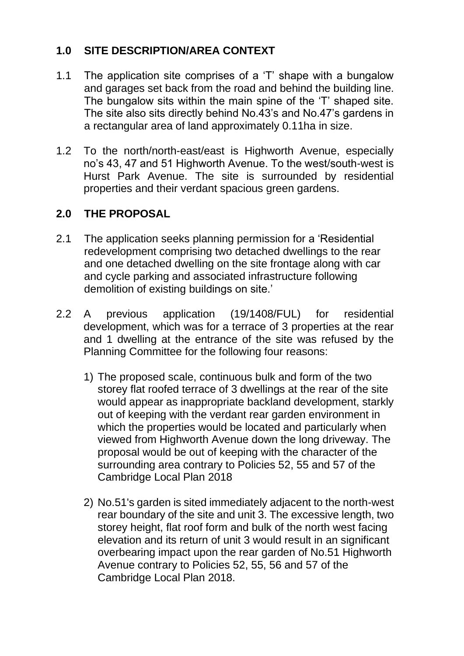# **1.0 SITE DESCRIPTION/AREA CONTEXT**

- 1.1 The application site comprises of a 'T' shape with a bungalow and garages set back from the road and behind the building line. The bungalow sits within the main spine of the 'T' shaped site. The site also sits directly behind No.43's and No.47's gardens in a rectangular area of land approximately 0.11ha in size.
- 1.2 To the north/north-east/east is Highworth Avenue, especially no's 43, 47 and 51 Highworth Avenue. To the west/south-west is Hurst Park Avenue. The site is surrounded by residential properties and their verdant spacious green gardens.

# **2.0 THE PROPOSAL**

- 2.1 The application seeks planning permission for a 'Residential redevelopment comprising two detached dwellings to the rear and one detached dwelling on the site frontage along with car and cycle parking and associated infrastructure following demolition of existing buildings on site.'
- 2.2 A previous application (19/1408/FUL) for residential development, which was for a terrace of 3 properties at the rear and 1 dwelling at the entrance of the site was refused by the Planning Committee for the following four reasons:
	- 1) The proposed scale, continuous bulk and form of the two storey flat roofed terrace of 3 dwellings at the rear of the site would appear as inappropriate backland development, starkly out of keeping with the verdant rear garden environment in which the properties would be located and particularly when viewed from Highworth Avenue down the long driveway. The proposal would be out of keeping with the character of the surrounding area contrary to Policies 52, 55 and 57 of the Cambridge Local Plan 2018
	- 2) No.51's garden is sited immediately adjacent to the north-west rear boundary of the site and unit 3. The excessive length, two storey height, flat roof form and bulk of the north west facing elevation and its return of unit 3 would result in an significant overbearing impact upon the rear garden of No.51 Highworth Avenue contrary to Policies 52, 55, 56 and 57 of the Cambridge Local Plan 2018.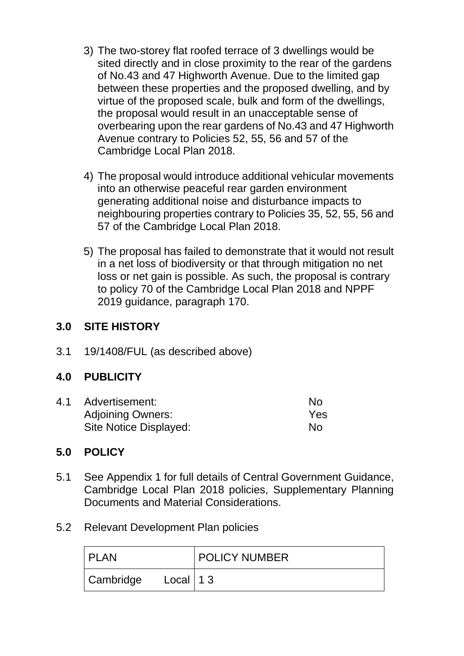- 3) The two-storey flat roofed terrace of 3 dwellings would be sited directly and in close proximity to the rear of the gardens of No.43 and 47 Highworth Avenue. Due to the limited gap between these properties and the proposed dwelling, and by virtue of the proposed scale, bulk and form of the dwellings, the proposal would result in an unacceptable sense of overbearing upon the rear gardens of No.43 and 47 Highworth Avenue contrary to Policies 52, 55, 56 and 57 of the Cambridge Local Plan 2018.
- 4) The proposal would introduce additional vehicular movements into an otherwise peaceful rear garden environment generating additional noise and disturbance impacts to neighbouring properties contrary to Policies 35, 52, 55, 56 and 57 of the Cambridge Local Plan 2018.
- 5) The proposal has failed to demonstrate that it would not result in a net loss of biodiversity or that through mitigation no net loss or net gain is possible. As such, the proposal is contrary to policy 70 of the Cambridge Local Plan 2018 and NPPF 2019 guidance, paragraph 170.

# **3.0 SITE HISTORY**

3.1 19/1408/FUL (as described above)

# **4.0 PUBLICITY**

| 4.1 | Advertisement:           | No. |
|-----|--------------------------|-----|
|     | <b>Adjoining Owners:</b> | Yes |
|     | Site Notice Displayed:   | No  |

# **5.0 POLICY**

- 5.1 See Appendix 1 for full details of Central Government Guidance, Cambridge Local Plan 2018 policies, Supplementary Planning Documents and Material Considerations.
- 5.2 Relevant Development Plan policies

| <b>I PLAN</b> |               | <b>POLICY NUMBER</b> |
|---------------|---------------|----------------------|
| Cambridge     | Local   1 $3$ |                      |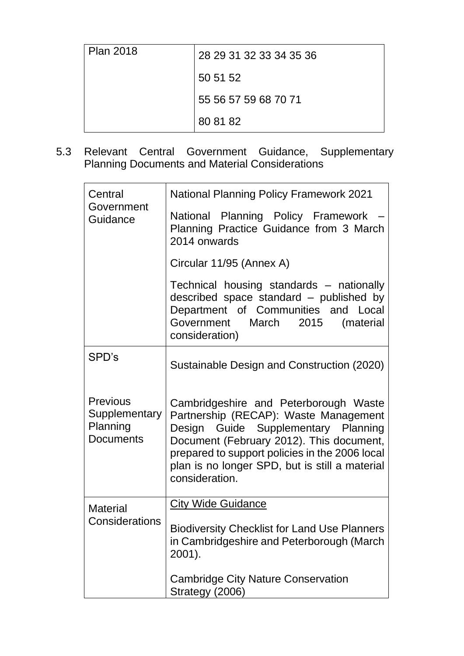| <b>Plan 2018</b> | 28 29 31 32 33 34 35 36 |
|------------------|-------------------------|
|                  | 50 51 52                |
|                  | 55 56 57 59 68 70 71    |
|                  | 80 81 82                |

5.3 Relevant Central Government Guidance, Supplementary Planning Documents and Material Considerations

| Central<br>Government<br>Guidance                                | <b>National Planning Policy Framework 2021</b>                                                                                                                                                                                                                                          |
|------------------------------------------------------------------|-----------------------------------------------------------------------------------------------------------------------------------------------------------------------------------------------------------------------------------------------------------------------------------------|
|                                                                  | National Planning Policy Framework<br>Planning Practice Guidance from 3 March<br>2014 onwards                                                                                                                                                                                           |
|                                                                  | Circular 11/95 (Annex A)                                                                                                                                                                                                                                                                |
|                                                                  | Technical housing standards - nationally<br>described space standard - published by<br>Department of Communities and Local<br>2015<br>Government March<br>(material<br>consideration)                                                                                                   |
| SPD's                                                            | Sustainable Design and Construction (2020)                                                                                                                                                                                                                                              |
| <b>Previous</b><br>Supplementary<br>Planning<br><b>Documents</b> | Cambridgeshire and Peterborough Waste<br>Partnership (RECAP): Waste Management<br>Design Guide Supplementary Planning<br>Document (February 2012). This document,<br>prepared to support policies in the 2006 local<br>plan is no longer SPD, but is still a material<br>consideration. |
| <b>Material</b>                                                  | <b>City Wide Guidance</b>                                                                                                                                                                                                                                                               |
| Considerations                                                   | <b>Biodiversity Checklist for Land Use Planners</b><br>in Cambridgeshire and Peterborough (March)<br>2001).                                                                                                                                                                             |
|                                                                  | <b>Cambridge City Nature Conservation</b><br>Strategy (2006)                                                                                                                                                                                                                            |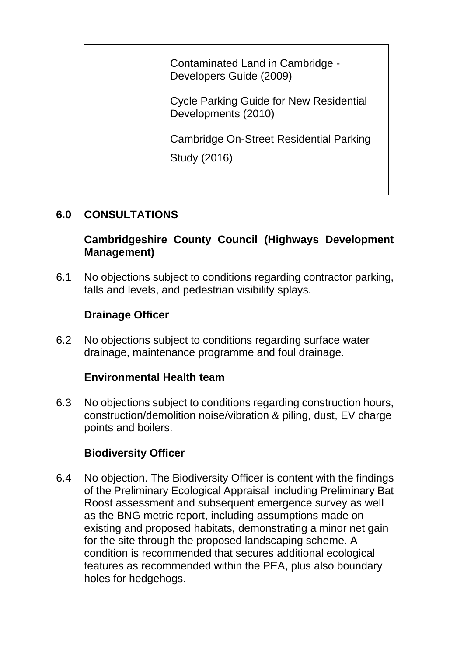| Contaminated Land in Cambridge -<br>Developers Guide (2009)           |
|-----------------------------------------------------------------------|
| <b>Cycle Parking Guide for New Residential</b><br>Developments (2010) |
| Cambridge On-Street Residential Parking<br>Study (2016)               |

## **6.0 CONSULTATIONS**

## **Cambridgeshire County Council (Highways Development Management)**

6.1 No objections subject to conditions regarding contractor parking, falls and levels, and pedestrian visibility splays.

## **Drainage Officer**

6.2 No objections subject to conditions regarding surface water drainage, maintenance programme and foul drainage.

# **Environmental Health team**

6.3 No objections subject to conditions regarding construction hours, construction/demolition noise/vibration & piling, dust, EV charge points and boilers.

### **Biodiversity Officer**

6.4 No objection. The Biodiversity Officer is content with the findings of the Preliminary Ecological Appraisal including Preliminary Bat Roost assessment and subsequent emergence survey as well as the BNG metric report, including assumptions made on existing and proposed habitats, demonstrating a minor net gain for the site through the proposed landscaping scheme. A condition is recommended that secures additional ecological features as recommended within the PEA, plus also boundary holes for hedgehogs.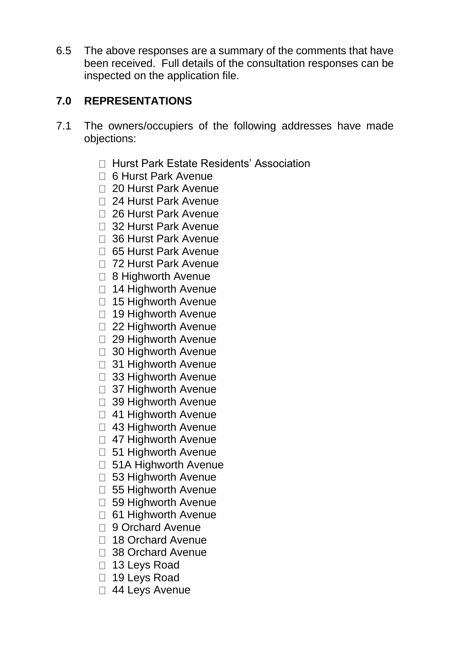6.5 The above responses are a summary of the comments that have been received. Full details of the consultation responses can be inspected on the application file.

## **7.0 REPRESENTATIONS**

- 7.1 The owners/occupiers of the following addresses have made objections:
	- □ Hurst Park Estate Residents' Association
	- 6 Hurst Park Avenue
	- 20 Hurst Park Avenue
	- 24 Hurst Park Avenue
	- 26 Hurst Park Avenue
	- 32 Hurst Park Avenue
	- □ 36 Hurst Park Avenue
	- □ 65 Hurst Park Avenue
	- □ 72 Hurst Park Avenue
	- □ 8 Highworth Avenue
	- $\Box$  14 Highworth Avenue
	- □ 15 Highworth Avenue
	- □ 19 Highworth Avenue
	- □ 22 Highworth Avenue
	- □ 29 Highworth Avenue
	- □ 30 Highworth Avenue
	- □ 31 Highworth Avenue
	- □ 33 Highworth Avenue
	- 37 Highworth Avenue
	- □ 39 Highworth Avenue
	- 41 Highworth Avenue
	- □ 43 Highworth Avenue
	- 47 Highworth Avenue
	- □ 51 Highworth Avenue
	- □ 51A Highworth Avenue
	- 53 Highworth Avenue
	- □ 55 Highworth Avenue
	- 59 Highworth Avenue
	- □ 61 Highworth Avenue
	- □ 9 Orchard Avenue
	- □ 18 Orchard Avenue
	- □ 38 Orchard Avenue
	- □ 13 Leys Road
	- □ 19 Leys Road
	- □ 44 Leys Avenue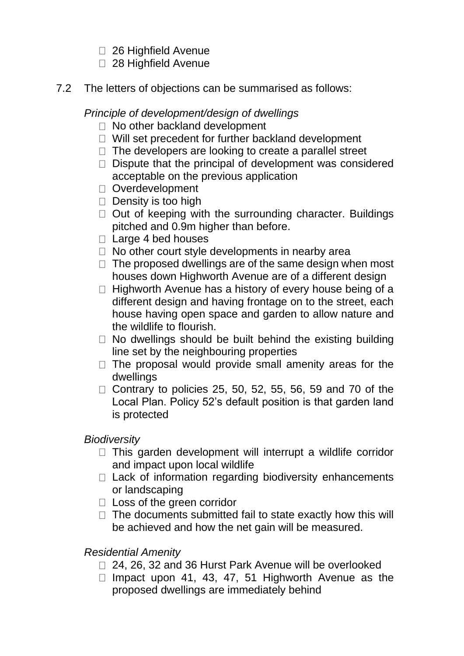- □ 26 Highfield Avenue
- □ 28 Highfield Avenue
- 7.2 The letters of objections can be summarised as follows:

*Principle of development/design of dwellings*

- □ No other backland development
- $\Box$  Will set precedent for further backland development
- $\Box$  The developers are looking to create a parallel street
- $\Box$  Dispute that the principal of development was considered acceptable on the previous application
- Overdevelopment
- $\Box$  Density is too high
- $\Box$  Out of keeping with the surrounding character. Buildings pitched and 0.9m higher than before.
- □ Large 4 bed houses
- $\Box$  No other court style developments in nearby area
- $\Box$  The proposed dwellings are of the same design when most houses down Highworth Avenue are of a different design
- $\Box$  Highworth Avenue has a history of every house being of a different design and having frontage on to the street, each house having open space and garden to allow nature and the wildlife to flourish.
- $\Box$  No dwellings should be built behind the existing building line set by the neighbouring properties
- $\Box$  The proposal would provide small amenity areas for the dwellings
- $\Box$  Contrary to policies 25, 50, 52, 55, 56, 59 and 70 of the Local Plan. Policy 52's default position is that garden land is protected

### *Biodiversity*

- $\Box$  This garden development will interrupt a wildlife corridor and impact upon local wildlife
- $\Box$  Lack of information regarding biodiversity enhancements or landscaping
- □ Loss of the green corridor
- $\Box$  The documents submitted fail to state exactly how this will be achieved and how the net gain will be measured.

# *Residential Amenity*

- □ 24, 26, 32 and 36 Hurst Park Avenue will be overlooked
- $\Box$  Impact upon 41, 43, 47, 51 Highworth Avenue as the proposed dwellings are immediately behind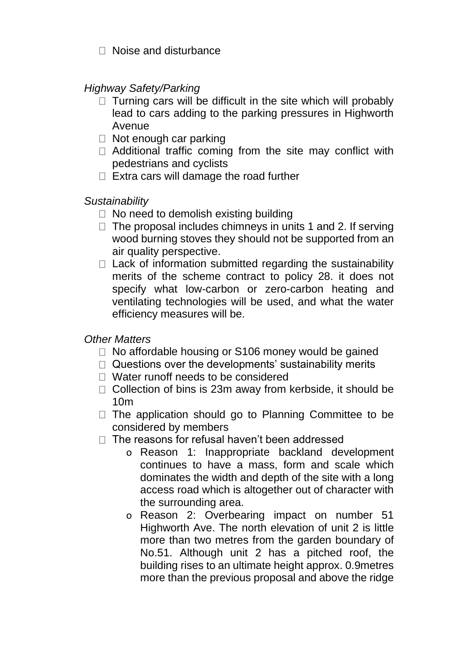$\Box$  Noise and disturbance

*Highway Safety/Parking*

- $\Box$  Turning cars will be difficult in the site which will probably lead to cars adding to the parking pressures in Highworth Avenue
- $\Box$  Not enough car parking
- $\Box$  Additional traffic coming from the site may conflict with pedestrians and cyclists
- $\Box$  Extra cars will damage the road further

### *Sustainability*

- $\Box$  No need to demolish existing building
- $\Box$  The proposal includes chimneys in units 1 and 2. If serving wood burning stoves they should not be supported from an air quality perspective.
- $\Box$  Lack of information submitted regarding the sustainability merits of the scheme contract to policy 28. it does not specify what low-carbon or zero-carbon heating and ventilating technologies will be used, and what the water efficiency measures will be.

*Other Matters*

- $\Box$  No affordable housing or S106 money would be gained
- $\Box$  Questions over the developments' sustainability merits
- □ Water runoff needs to be considered
- □ Collection of bins is 23m away from kerbside, it should be 10m
- $\Box$  The application should go to Planning Committee to be considered by members
- $\Box$  The reasons for refusal haven't been addressed
	- o Reason 1: Inappropriate backland development continues to have a mass, form and scale which dominates the width and depth of the site with a long access road which is altogether out of character with the surrounding area.
	- o Reason 2: Overbearing impact on number 51 Highworth Ave. The north elevation of unit 2 is little more than two metres from the garden boundary of No.51. Although unit 2 has a pitched roof, the building rises to an ultimate height approx. 0.9metres more than the previous proposal and above the ridge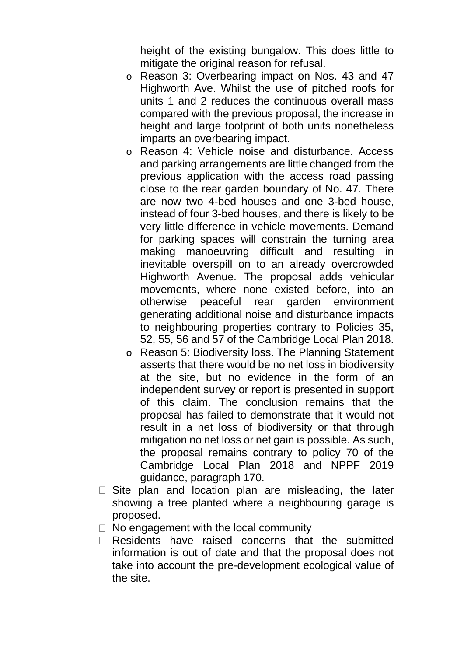height of the existing bungalow. This does little to mitigate the original reason for refusal.

- o Reason 3: Overbearing impact on Nos. 43 and 47 Highworth Ave. Whilst the use of pitched roofs for units 1 and 2 reduces the continuous overall mass compared with the previous proposal, the increase in height and large footprint of both units nonetheless imparts an overbearing impact.
- o Reason 4: Vehicle noise and disturbance. Access and parking arrangements are little changed from the previous application with the access road passing close to the rear garden boundary of No. 47. There are now two 4-bed houses and one 3-bed house, instead of four 3-bed houses, and there is likely to be very little difference in vehicle movements. Demand for parking spaces will constrain the turning area making manoeuvring difficult and resulting in inevitable overspill on to an already overcrowded Highworth Avenue. The proposal adds vehicular movements, where none existed before, into an otherwise peaceful rear garden environment generating additional noise and disturbance impacts to neighbouring properties contrary to Policies 35, 52, 55, 56 and 57 of the Cambridge Local Plan 2018.
- o Reason 5: Biodiversity loss. The Planning Statement asserts that there would be no net loss in biodiversity at the site, but no evidence in the form of an independent survey or report is presented in support of this claim. The conclusion remains that the proposal has failed to demonstrate that it would not result in a net loss of biodiversity or that through mitigation no net loss or net gain is possible. As such, the proposal remains contrary to policy 70 of the Cambridge Local Plan 2018 and NPPF 2019 guidance, paragraph 170.
- $\Box$  Site plan and location plan are misleading, the later showing a tree planted where a neighbouring garage is proposed.
- $\Box$  No engagement with the local community
- $\Box$  Residents have raised concerns that the submitted information is out of date and that the proposal does not take into account the pre-development ecological value of the site.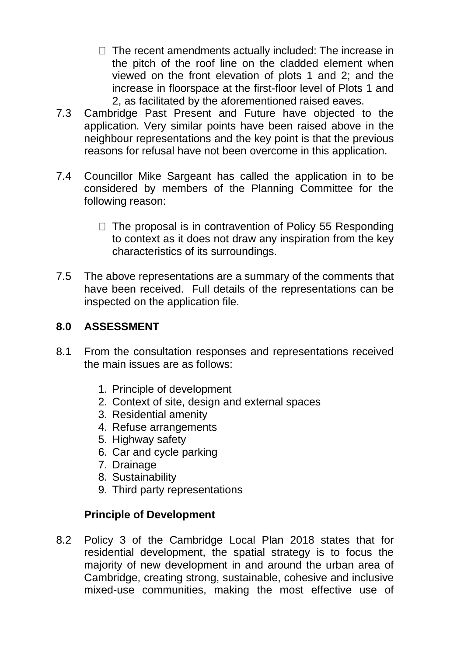- $\Box$  The recent amendments actually included: The increase in the pitch of the roof line on the cladded element when viewed on the front elevation of plots 1 and 2; and the increase in floorspace at the first-floor level of Plots 1 and 2, as facilitated by the aforementioned raised eaves.
- 7.3 Cambridge Past Present and Future have objected to the application. Very similar points have been raised above in the neighbour representations and the key point is that the previous reasons for refusal have not been overcome in this application.
- 7.4 Councillor Mike Sargeant has called the application in to be considered by members of the Planning Committee for the following reason:
	- $\Box$  The proposal is in contravention of Policy 55 Responding to context as it does not draw any inspiration from the key characteristics of its surroundings.
- 7.5 The above representations are a summary of the comments that have been received. Full details of the representations can be inspected on the application file.

## **8.0 ASSESSMENT**

- 8.1 From the consultation responses and representations received the main issues are as follows:
	- 1. Principle of development
	- 2. Context of site, design and external spaces
	- 3. Residential amenity
	- 4. Refuse arrangements
	- 5. Highway safety
	- 6. Car and cycle parking
	- 7. Drainage
	- 8. Sustainability
	- 9. Third party representations

### **Principle of Development**

8.2 Policy 3 of the Cambridge Local Plan 2018 states that for residential development, the spatial strategy is to focus the majority of new development in and around the urban area of Cambridge, creating strong, sustainable, cohesive and inclusive mixed-use communities, making the most effective use of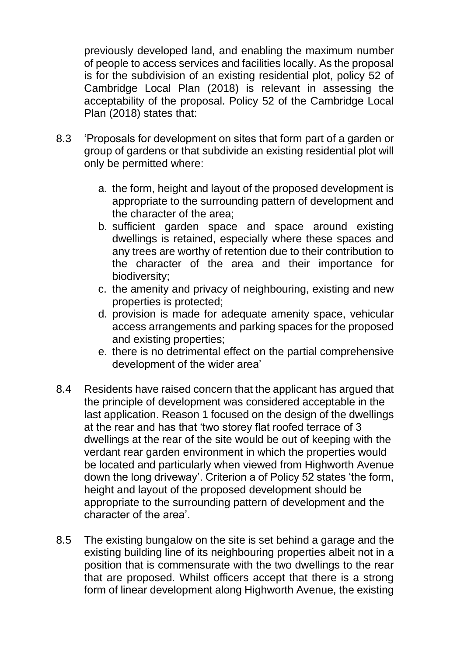previously developed land, and enabling the maximum number of people to access services and facilities locally. As the proposal is for the subdivision of an existing residential plot, policy 52 of Cambridge Local Plan (2018) is relevant in assessing the acceptability of the proposal. Policy 52 of the Cambridge Local Plan (2018) states that:

- 8.3 'Proposals for development on sites that form part of a garden or group of gardens or that subdivide an existing residential plot will only be permitted where:
	- a. the form, height and layout of the proposed development is appropriate to the surrounding pattern of development and the character of the area;
	- b. sufficient garden space and space around existing dwellings is retained, especially where these spaces and any trees are worthy of retention due to their contribution to the character of the area and their importance for biodiversity;
	- c. the amenity and privacy of neighbouring, existing and new properties is protected;
	- d. provision is made for adequate amenity space, vehicular access arrangements and parking spaces for the proposed and existing properties;
	- e. there is no detrimental effect on the partial comprehensive development of the wider area'
- 8.4 Residents have raised concern that the applicant has argued that the principle of development was considered acceptable in the last application. Reason 1 focused on the design of the dwellings at the rear and has that 'two storey flat roofed terrace of 3 dwellings at the rear of the site would be out of keeping with the verdant rear garden environment in which the properties would be located and particularly when viewed from Highworth Avenue down the long driveway'. Criterion a of Policy 52 states 'the form, height and layout of the proposed development should be appropriate to the surrounding pattern of development and the character of the area'.
- 8.5 The existing bungalow on the site is set behind a garage and the existing building line of its neighbouring properties albeit not in a position that is commensurate with the two dwellings to the rear that are proposed. Whilst officers accept that there is a strong form of linear development along Highworth Avenue, the existing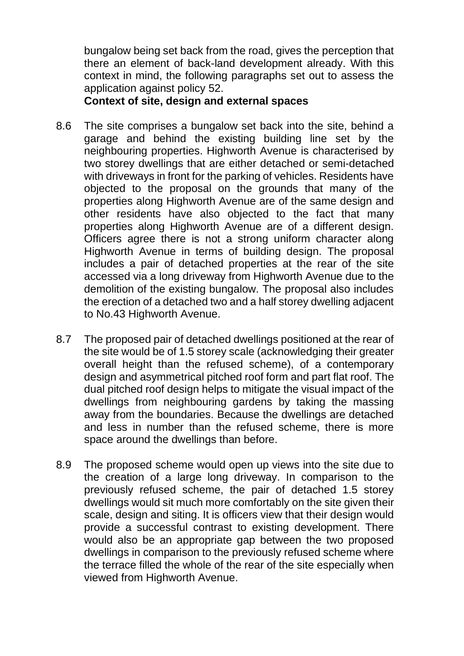bungalow being set back from the road, gives the perception that there an element of back-land development already. With this context in mind, the following paragraphs set out to assess the application against policy 52.

**Context of site, design and external spaces** 

- 8.6 The site comprises a bungalow set back into the site, behind a garage and behind the existing building line set by the neighbouring properties. Highworth Avenue is characterised by two storey dwellings that are either detached or semi-detached with driveways in front for the parking of vehicles. Residents have objected to the proposal on the grounds that many of the properties along Highworth Avenue are of the same design and other residents have also objected to the fact that many properties along Highworth Avenue are of a different design. Officers agree there is not a strong uniform character along Highworth Avenue in terms of building design. The proposal includes a pair of detached properties at the rear of the site accessed via a long driveway from Highworth Avenue due to the demolition of the existing bungalow. The proposal also includes the erection of a detached two and a half storey dwelling adjacent to No.43 Highworth Avenue.
- 8.7 The proposed pair of detached dwellings positioned at the rear of the site would be of 1.5 storey scale (acknowledging their greater overall height than the refused scheme), of a contemporary design and asymmetrical pitched roof form and part flat roof. The dual pitched roof design helps to mitigate the visual impact of the dwellings from neighbouring gardens by taking the massing away from the boundaries. Because the dwellings are detached and less in number than the refused scheme, there is more space around the dwellings than before.
- 8.9 The proposed scheme would open up views into the site due to the creation of a large long driveway. In comparison to the previously refused scheme, the pair of detached 1.5 storey dwellings would sit much more comfortably on the site given their scale, design and siting. It is officers view that their design would provide a successful contrast to existing development. There would also be an appropriate gap between the two proposed dwellings in comparison to the previously refused scheme where the terrace filled the whole of the rear of the site especially when viewed from Highworth Avenue.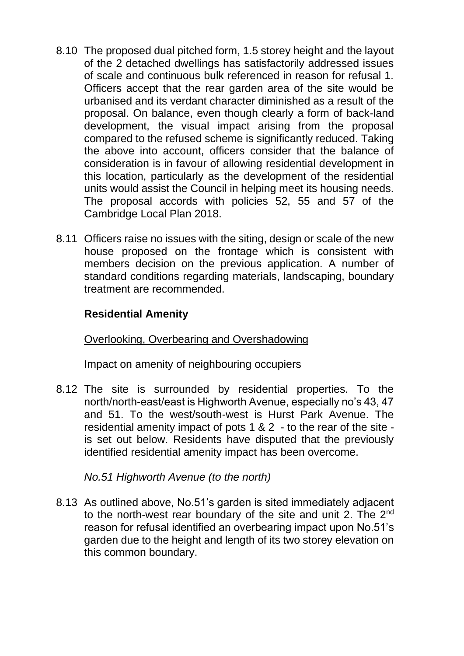- 8.10 The proposed dual pitched form, 1.5 storey height and the layout of the 2 detached dwellings has satisfactorily addressed issues of scale and continuous bulk referenced in reason for refusal 1. Officers accept that the rear garden area of the site would be urbanised and its verdant character diminished as a result of the proposal. On balance, even though clearly a form of back-land development, the visual impact arising from the proposal compared to the refused scheme is significantly reduced. Taking the above into account, officers consider that the balance of consideration is in favour of allowing residential development in this location, particularly as the development of the residential units would assist the Council in helping meet its housing needs. The proposal accords with policies 52, 55 and 57 of the Cambridge Local Plan 2018.
- 8.11 Officers raise no issues with the siting, design or scale of the new house proposed on the frontage which is consistent with members decision on the previous application. A number of standard conditions regarding materials, landscaping, boundary treatment are recommended.

## **Residential Amenity**

#### Overlooking, Overbearing and Overshadowing

Impact on amenity of neighbouring occupiers

8.12 The site is surrounded by residential properties. To the north/north-east/east is Highworth Avenue, especially no's 43, 47 and 51. To the west/south-west is Hurst Park Avenue. The residential amenity impact of pots 1 & 2 - to the rear of the site is set out below. Residents have disputed that the previously identified residential amenity impact has been overcome.

*No.51 Highworth Avenue (to the north)*

8.13 As outlined above, No.51's garden is sited immediately adjacent to the north-west rear boundary of the site and unit 2. The 2<sup>nd</sup> reason for refusal identified an overbearing impact upon No.51's garden due to the height and length of its two storey elevation on this common boundary.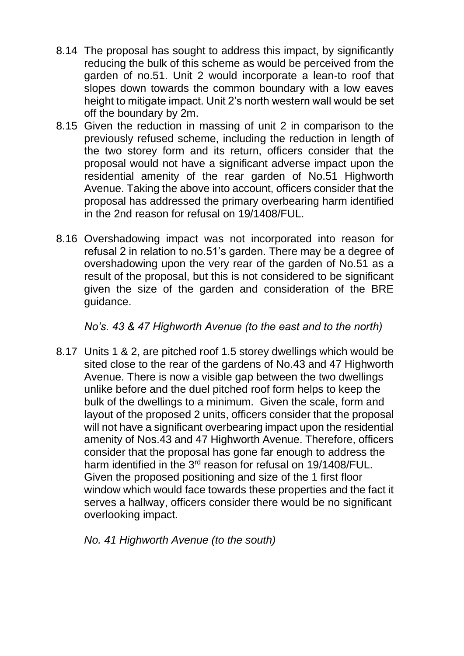- 8.14 The proposal has sought to address this impact, by significantly reducing the bulk of this scheme as would be perceived from the garden of no.51. Unit 2 would incorporate a lean-to roof that slopes down towards the common boundary with a low eaves height to mitigate impact. Unit 2's north western wall would be set off the boundary by 2m.
- 8.15 Given the reduction in massing of unit 2 in comparison to the previously refused scheme, including the reduction in length of the two storey form and its return, officers consider that the proposal would not have a significant adverse impact upon the residential amenity of the rear garden of No.51 Highworth Avenue. Taking the above into account, officers consider that the proposal has addressed the primary overbearing harm identified in the 2nd reason for refusal on 19/1408/FUL.
- 8.16 Overshadowing impact was not incorporated into reason for refusal 2 in relation to no.51's garden. There may be a degree of overshadowing upon the very rear of the garden of No.51 as a result of the proposal, but this is not considered to be significant given the size of the garden and consideration of the BRE guidance.

*No's. 43 & 47 Highworth Avenue (to the east and to the north)*

8.17 Units 1 & 2, are pitched roof 1.5 storey dwellings which would be sited close to the rear of the gardens of No.43 and 47 Highworth Avenue. There is now a visible gap between the two dwellings unlike before and the duel pitched roof form helps to keep the bulk of the dwellings to a minimum. Given the scale, form and layout of the proposed 2 units, officers consider that the proposal will not have a significant overbearing impact upon the residential amenity of Nos.43 and 47 Highworth Avenue. Therefore, officers consider that the proposal has gone far enough to address the harm identified in the 3<sup>rd</sup> reason for refusal on 19/1408/FUL. Given the proposed positioning and size of the 1 first floor window which would face towards these properties and the fact it serves a hallway, officers consider there would be no significant overlooking impact.

*No. 41 Highworth Avenue (to the south)*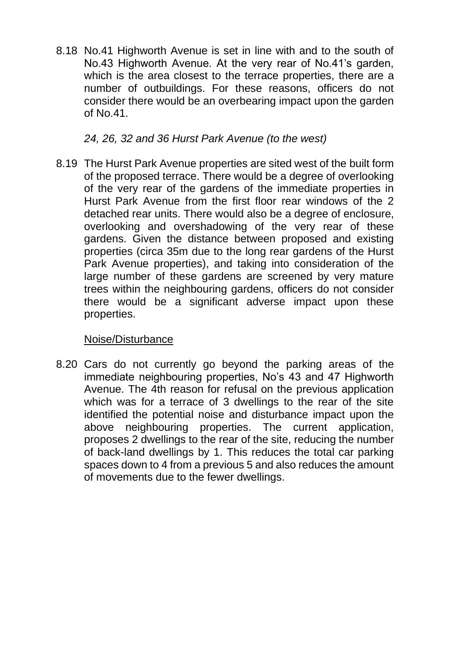8.18 No.41 Highworth Avenue is set in line with and to the south of No.43 Highworth Avenue. At the very rear of No.41's garden, which is the area closest to the terrace properties, there are a number of outbuildings. For these reasons, officers do not consider there would be an overbearing impact upon the garden of No.41.

*24, 26, 32 and 36 Hurst Park Avenue (to the west)*

8.19 The Hurst Park Avenue properties are sited west of the built form of the proposed terrace. There would be a degree of overlooking of the very rear of the gardens of the immediate properties in Hurst Park Avenue from the first floor rear windows of the 2 detached rear units. There would also be a degree of enclosure, overlooking and overshadowing of the very rear of these gardens. Given the distance between proposed and existing properties (circa 35m due to the long rear gardens of the Hurst Park Avenue properties), and taking into consideration of the large number of these gardens are screened by very mature trees within the neighbouring gardens, officers do not consider there would be a significant adverse impact upon these properties.

#### Noise/Disturbance

8.20 Cars do not currently go beyond the parking areas of the immediate neighbouring properties, No's 43 and 47 Highworth Avenue. The 4th reason for refusal on the previous application which was for a terrace of 3 dwellings to the rear of the site identified the potential noise and disturbance impact upon the above neighbouring properties. The current application, proposes 2 dwellings to the rear of the site, reducing the number of back-land dwellings by 1. This reduces the total car parking spaces down to 4 from a previous 5 and also reduces the amount of movements due to the fewer dwellings.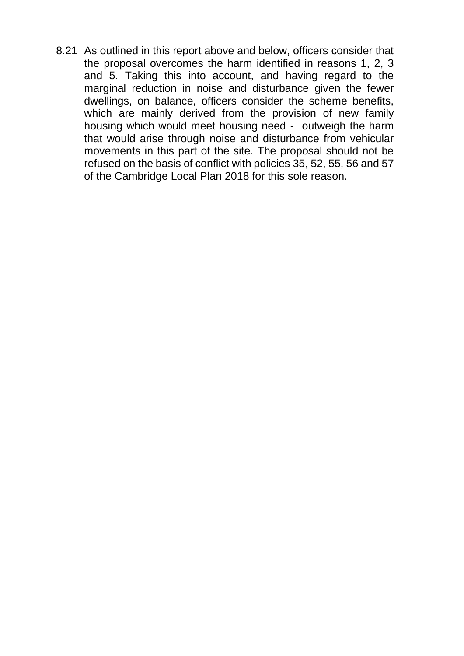8.21 As outlined in this report above and below, officers consider that the proposal overcomes the harm identified in reasons 1, 2, 3 and 5. Taking this into account, and having regard to the marginal reduction in noise and disturbance given the fewer dwellings, on balance, officers consider the scheme benefits, which are mainly derived from the provision of new family housing which would meet housing need - outweigh the harm that would arise through noise and disturbance from vehicular movements in this part of the site. The proposal should not be refused on the basis of conflict with policies 35, 52, 55, 56 and 57 of the Cambridge Local Plan 2018 for this sole reason.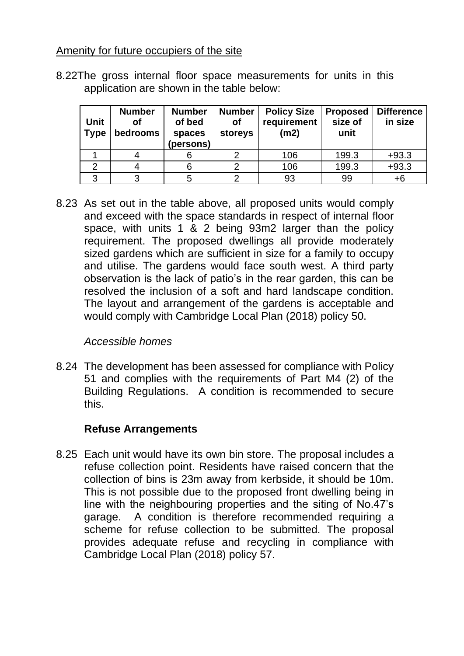### Amenity for future occupiers of the site

8.22The gross internal floor space measurements for units in this application are shown in the table below:

| <b>Unit</b><br><b>Type</b> | <b>Number</b><br>οf<br>bedrooms | <b>Number</b><br>of bed<br>spaces<br>(persons) | <b>Number</b><br>of<br>storeys | <b>Policy Size</b><br>requirement<br>(m2) | <b>Proposed</b><br>size of<br>unit | <b>Difference</b><br>in size |
|----------------------------|---------------------------------|------------------------------------------------|--------------------------------|-------------------------------------------|------------------------------------|------------------------------|
|                            |                                 |                                                |                                | 106                                       | 199.3                              | $+93.3$                      |
|                            |                                 |                                                |                                | 106                                       | 199.3                              | $+93.3$                      |
| 3                          |                                 |                                                |                                | 93                                        | 99                                 | $+6$                         |

8.23 As set out in the table above, all proposed units would comply and exceed with the space standards in respect of internal floor space, with units 1 & 2 being 93m2 larger than the policy requirement. The proposed dwellings all provide moderately sized gardens which are sufficient in size for a family to occupy and utilise. The gardens would face south west. A third party observation is the lack of patio's in the rear garden, this can be resolved the inclusion of a soft and hard landscape condition. The layout and arrangement of the gardens is acceptable and would comply with Cambridge Local Plan (2018) policy 50.

### *Accessible homes*

8.24 The development has been assessed for compliance with Policy 51 and complies with the requirements of Part M4 (2) of the Building Regulations. A condition is recommended to secure this.

### **Refuse Arrangements**

8.25 Each unit would have its own bin store. The proposal includes a refuse collection point. Residents have raised concern that the collection of bins is 23m away from kerbside, it should be 10m. This is not possible due to the proposed front dwelling being in line with the neighbouring properties and the siting of No.47's garage. A condition is therefore recommended requiring a scheme for refuse collection to be submitted. The proposal provides adequate refuse and recycling in compliance with Cambridge Local Plan (2018) policy 57.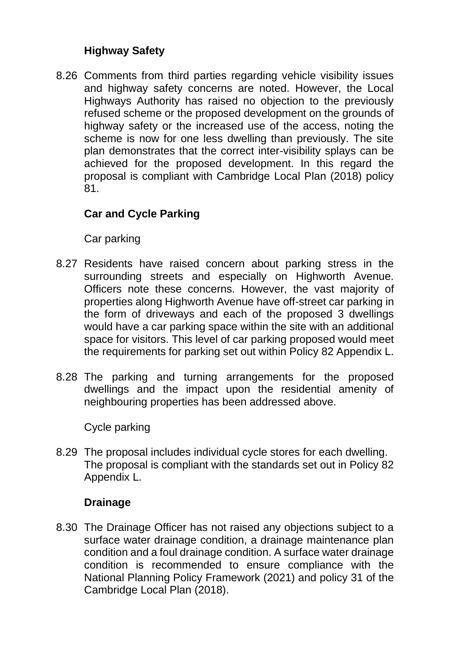# **Highway Safety**

8.26 Comments from third parties regarding vehicle visibility issues and highway safety concerns are noted. However, the Local Highways Authority has raised no objection to the previously refused scheme or the proposed development on the grounds of highway safety or the increased use of the access, noting the scheme is now for one less dwelling than previously. The site plan demonstrates that the correct inter-visibility splays can be achieved for the proposed development. In this regard the proposal is compliant with Cambridge Local Plan (2018) policy 81.

# **Car and Cycle Parking**

Car parking

- 8.27 Residents have raised concern about parking stress in the surrounding streets and especially on Highworth Avenue. Officers note these concerns. However, the vast majority of properties along Highworth Avenue have off-street car parking in the form of driveways and each of the proposed 3 dwellings would have a car parking space within the site with an additional space for visitors. This level of car parking proposed would meet the requirements for parking set out within Policy 82 Appendix L.
- 8.28 The parking and turning arrangements for the proposed dwellings and the impact upon the residential amenity of neighbouring properties has been addressed above.

Cycle parking

8.29 The proposal includes individual cycle stores for each dwelling. The proposal is compliant with the standards set out in Policy 82 Appendix L.

### **Drainage**

8.30 The Drainage Officer has not raised any objections subject to a surface water drainage condition, a drainage maintenance plan condition and a foul drainage condition. A surface water drainage condition is recommended to ensure compliance with the National Planning Policy Framework (2021) and policy 31 of the Cambridge Local Plan (2018).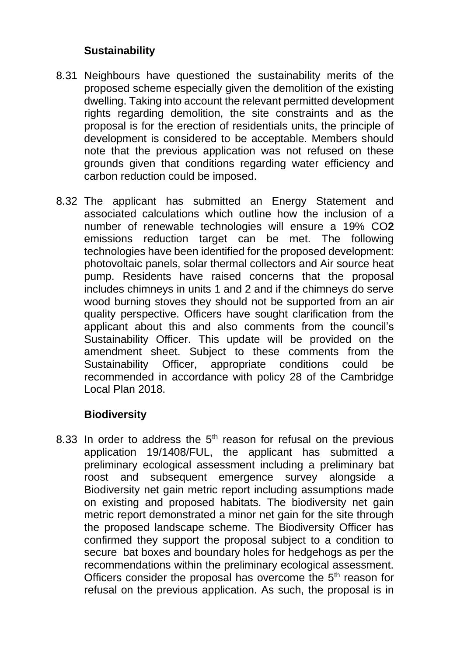## **Sustainability**

- 8.31 Neighbours have questioned the sustainability merits of the proposed scheme especially given the demolition of the existing dwelling. Taking into account the relevant permitted development rights regarding demolition, the site constraints and as the proposal is for the erection of residentials units, the principle of development is considered to be acceptable. Members should note that the previous application was not refused on these grounds given that conditions regarding water efficiency and carbon reduction could be imposed.
- 8.32 The applicant has submitted an Energy Statement and associated calculations which outline how the inclusion of a number of renewable technologies will ensure a 19% CO**2**  emissions reduction target can be met. The following technologies have been identified for the proposed development: photovoltaic panels, solar thermal collectors and Air source heat pump. Residents have raised concerns that the proposal includes chimneys in units 1 and 2 and if the chimneys do serve wood burning stoves they should not be supported from an air quality perspective. Officers have sought clarification from the applicant about this and also comments from the council's Sustainability Officer. This update will be provided on the amendment sheet. Subject to these comments from the Sustainability Officer, appropriate conditions could be recommended in accordance with policy 28 of the Cambridge Local Plan 2018.

# **Biodiversity**

8.33 In order to address the  $5<sup>th</sup>$  reason for refusal on the previous application 19/1408/FUL, the applicant has submitted a preliminary ecological assessment including a preliminary bat roost and subsequent emergence survey alongside a Biodiversity net gain metric report including assumptions made on existing and proposed habitats. The biodiversity net gain metric report demonstrated a minor net gain for the site through the proposed landscape scheme. The Biodiversity Officer has confirmed they support the proposal subject to a condition to secure bat boxes and boundary holes for hedgehogs as per the recommendations within the preliminary ecological assessment. Officers consider the proposal has overcome the  $5<sup>th</sup>$  reason for refusal on the previous application. As such, the proposal is in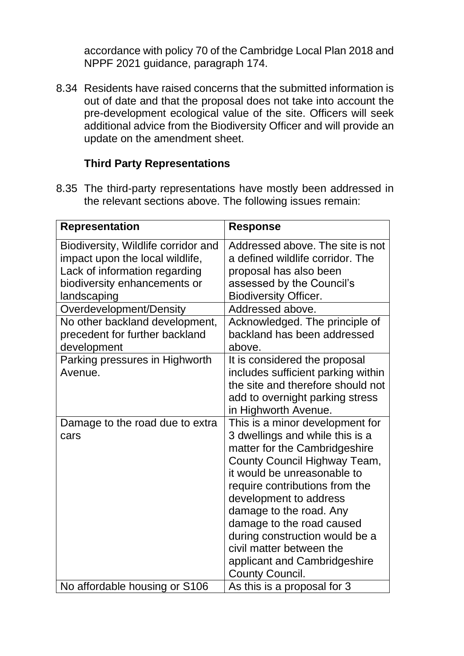accordance with policy 70 of the Cambridge Local Plan 2018 and NPPF 2021 guidance, paragraph 174.

8.34 Residents have raised concerns that the submitted information is out of date and that the proposal does not take into account the pre-development ecological value of the site. Officers will seek additional advice from the Biodiversity Officer and will provide an update on the amendment sheet.

### **Third Party Representations**

8.35 The third-party representations have mostly been addressed in the relevant sections above. The following issues remain:

| <b>Representation</b>                                                                                                                                  | <b>Response</b>                                                                                                                                                                                                                                                                                                                                                                                                |
|--------------------------------------------------------------------------------------------------------------------------------------------------------|----------------------------------------------------------------------------------------------------------------------------------------------------------------------------------------------------------------------------------------------------------------------------------------------------------------------------------------------------------------------------------------------------------------|
| Biodiversity, Wildlife corridor and<br>impact upon the local wildlife,<br>Lack of information regarding<br>biodiversity enhancements or<br>landscaping | Addressed above. The site is not<br>a defined wildlife corridor. The<br>proposal has also been<br>assessed by the Council's<br><b>Biodiversity Officer.</b><br>Addressed above.                                                                                                                                                                                                                                |
| Overdevelopment/Density<br>No other backland development,<br>precedent for further backland<br>development                                             | Acknowledged. The principle of<br>backland has been addressed<br>above.                                                                                                                                                                                                                                                                                                                                        |
| Parking pressures in Highworth<br>Avenue.                                                                                                              | It is considered the proposal<br>includes sufficient parking within<br>the site and therefore should not<br>add to overnight parking stress<br>in Highworth Avenue.                                                                                                                                                                                                                                            |
| Damage to the road due to extra<br>cars                                                                                                                | This is a minor development for<br>3 dwellings and while this is a<br>matter for the Cambridgeshire<br>County Council Highway Team,<br>it would be unreasonable to<br>require contributions from the<br>development to address<br>damage to the road. Any<br>damage to the road caused<br>during construction would be a<br>civil matter between the<br>applicant and Cambridgeshire<br><b>County Council.</b> |
| No affordable housing or S106                                                                                                                          | As this is a proposal for 3                                                                                                                                                                                                                                                                                                                                                                                    |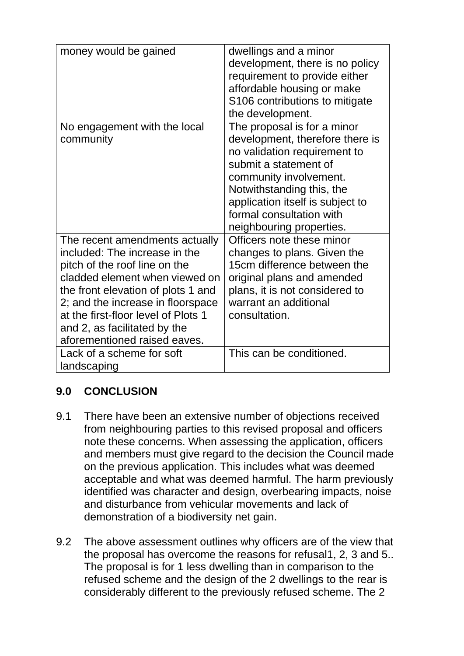| money would be gained                                                                                                                                                                                                                                                                                                | dwellings and a minor<br>development, there is no policy<br>requirement to provide either<br>affordable housing or make<br>S106 contributions to mitigate<br>the development.                                                                                              |
|----------------------------------------------------------------------------------------------------------------------------------------------------------------------------------------------------------------------------------------------------------------------------------------------------------------------|----------------------------------------------------------------------------------------------------------------------------------------------------------------------------------------------------------------------------------------------------------------------------|
| No engagement with the local<br>community                                                                                                                                                                                                                                                                            | The proposal is for a minor<br>development, therefore there is<br>no validation requirement to<br>submit a statement of<br>community involvement.<br>Notwithstanding this, the<br>application itself is subject to<br>formal consultation with<br>neighbouring properties. |
| The recent amendments actually<br>included: The increase in the<br>pitch of the roof line on the<br>cladded element when viewed on<br>the front elevation of plots 1 and<br>2; and the increase in floorspace<br>at the first-floor level of Plots 1<br>and 2, as facilitated by the<br>aforementioned raised eaves. | Officers note these minor<br>changes to plans. Given the<br>15cm difference between the<br>original plans and amended<br>plans, it is not considered to<br>warrant an additional<br>consultation.                                                                          |
| Lack of a scheme for soft<br>landscaping                                                                                                                                                                                                                                                                             | This can be conditioned.                                                                                                                                                                                                                                                   |

# **9.0 CONCLUSION**

- 9.1 There have been an extensive number of objections received from neighbouring parties to this revised proposal and officers note these concerns. When assessing the application, officers and members must give regard to the decision the Council made on the previous application. This includes what was deemed acceptable and what was deemed harmful. The harm previously identified was character and design, overbearing impacts, noise and disturbance from vehicular movements and lack of demonstration of a biodiversity net gain.
- 9.2 The above assessment outlines why officers are of the view that the proposal has overcome the reasons for refusal1, 2, 3 and 5.. The proposal is for 1 less dwelling than in comparison to the refused scheme and the design of the 2 dwellings to the rear is considerably different to the previously refused scheme. The 2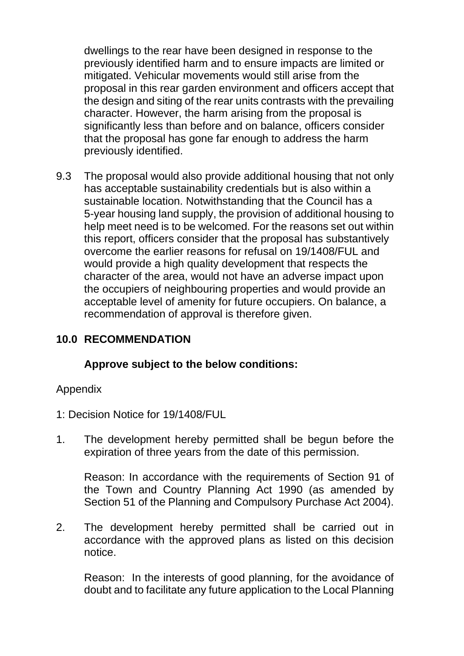dwellings to the rear have been designed in response to the previously identified harm and to ensure impacts are limited or mitigated. Vehicular movements would still arise from the proposal in this rear garden environment and officers accept that the design and siting of the rear units contrasts with the prevailing character. However, the harm arising from the proposal is significantly less than before and on balance, officers consider that the proposal has gone far enough to address the harm previously identified.

9.3 The proposal would also provide additional housing that not only has acceptable sustainability credentials but is also within a sustainable location. Notwithstanding that the Council has a 5-year housing land supply, the provision of additional housing to help meet need is to be welcomed. For the reasons set out within this report, officers consider that the proposal has substantively overcome the earlier reasons for refusal on 19/1408/FUL and would provide a high quality development that respects the character of the area, would not have an adverse impact upon the occupiers of neighbouring properties and would provide an acceptable level of amenity for future occupiers. On balance, a recommendation of approval is therefore given.

# **10.0 RECOMMENDATION**

### **Approve subject to the below conditions:**

#### Appendix

- 1: Decision Notice for 19/1408/FUL
- 1. The development hereby permitted shall be begun before the expiration of three years from the date of this permission.

Reason: In accordance with the requirements of Section 91 of the Town and Country Planning Act 1990 (as amended by Section 51 of the Planning and Compulsory Purchase Act 2004).

2. The development hereby permitted shall be carried out in accordance with the approved plans as listed on this decision notice.

Reason: In the interests of good planning, for the avoidance of doubt and to facilitate any future application to the Local Planning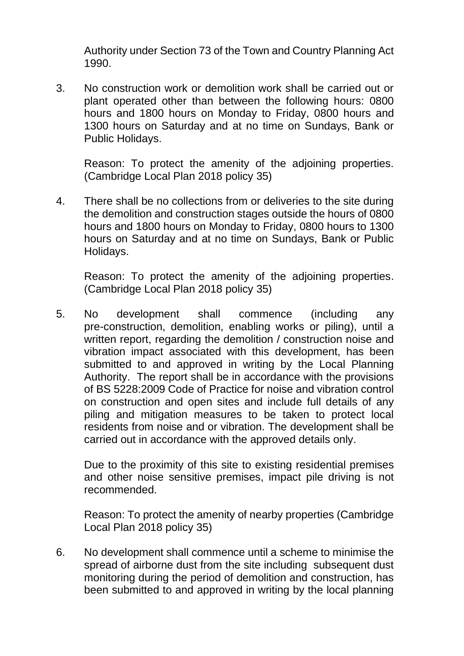Authority under Section 73 of the Town and Country Planning Act 1990.

3. No construction work or demolition work shall be carried out or plant operated other than between the following hours: 0800 hours and 1800 hours on Monday to Friday, 0800 hours and 1300 hours on Saturday and at no time on Sundays, Bank or Public Holidays.

Reason: To protect the amenity of the adjoining properties. (Cambridge Local Plan 2018 policy 35)

4. There shall be no collections from or deliveries to the site during the demolition and construction stages outside the hours of 0800 hours and 1800 hours on Monday to Friday, 0800 hours to 1300 hours on Saturday and at no time on Sundays, Bank or Public Holidays.

Reason: To protect the amenity of the adjoining properties. (Cambridge Local Plan 2018 policy 35)

5. No development shall commence (including any pre-construction, demolition, enabling works or piling), until a written report, regarding the demolition / construction noise and vibration impact associated with this development, has been submitted to and approved in writing by the Local Planning Authority. The report shall be in accordance with the provisions of BS 5228:2009 Code of Practice for noise and vibration control on construction and open sites and include full details of any piling and mitigation measures to be taken to protect local residents from noise and or vibration. The development shall be carried out in accordance with the approved details only.

Due to the proximity of this site to existing residential premises and other noise sensitive premises, impact pile driving is not recommended.

Reason: To protect the amenity of nearby properties (Cambridge Local Plan 2018 policy 35)

6. No development shall commence until a scheme to minimise the spread of airborne dust from the site including subsequent dust monitoring during the period of demolition and construction, has been submitted to and approved in writing by the local planning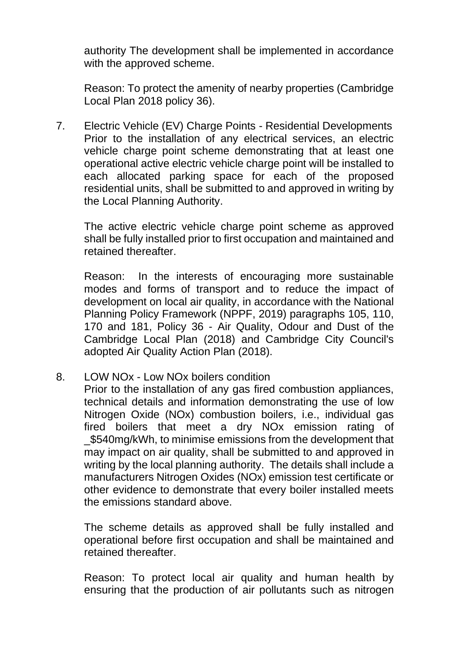authority The development shall be implemented in accordance with the approved scheme.

Reason: To protect the amenity of nearby properties (Cambridge Local Plan 2018 policy 36).

7. Electric Vehicle (EV) Charge Points - Residential Developments Prior to the installation of any electrical services, an electric vehicle charge point scheme demonstrating that at least one operational active electric vehicle charge point will be installed to each allocated parking space for each of the proposed residential units, shall be submitted to and approved in writing by the Local Planning Authority.

The active electric vehicle charge point scheme as approved shall be fully installed prior to first occupation and maintained and retained thereafter.

Reason: In the interests of encouraging more sustainable modes and forms of transport and to reduce the impact of development on local air quality, in accordance with the National Planning Policy Framework (NPPF, 2019) paragraphs 105, 110, 170 and 181, Policy 36 - Air Quality, Odour and Dust of the Cambridge Local Plan (2018) and Cambridge City Council's adopted Air Quality Action Plan (2018).

8. LOW NOx - Low NOx boilers condition

Prior to the installation of any gas fired combustion appliances, technical details and information demonstrating the use of low Nitrogen Oxide (NOx) combustion boilers, i.e., individual gas fired boilers that meet a dry NOx emission rating of \_\$540mg/kWh, to minimise emissions from the development that may impact on air quality, shall be submitted to and approved in writing by the local planning authority. The details shall include a manufacturers Nitrogen Oxides (NOx) emission test certificate or other evidence to demonstrate that every boiler installed meets the emissions standard above.

The scheme details as approved shall be fully installed and operational before first occupation and shall be maintained and retained thereafter.

Reason: To protect local air quality and human health by ensuring that the production of air pollutants such as nitrogen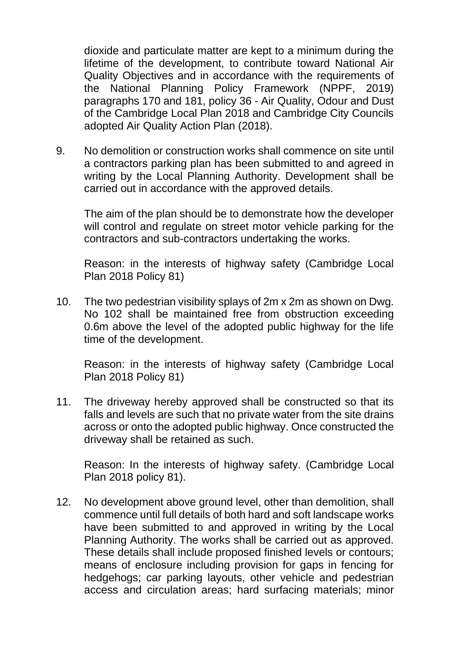dioxide and particulate matter are kept to a minimum during the lifetime of the development, to contribute toward National Air Quality Objectives and in accordance with the requirements of the National Planning Policy Framework (NPPF, 2019) paragraphs 170 and 181, policy 36 - Air Quality, Odour and Dust of the Cambridge Local Plan 2018 and Cambridge City Councils adopted Air Quality Action Plan (2018).

9. No demolition or construction works shall commence on site until a contractors parking plan has been submitted to and agreed in writing by the Local Planning Authority. Development shall be carried out in accordance with the approved details.

The aim of the plan should be to demonstrate how the developer will control and regulate on street motor vehicle parking for the contractors and sub-contractors undertaking the works.

Reason: in the interests of highway safety (Cambridge Local Plan 2018 Policy 81)

10. The two pedestrian visibility splays of 2m x 2m as shown on Dwg. No 102 shall be maintained free from obstruction exceeding 0.6m above the level of the adopted public highway for the life time of the development.

Reason: in the interests of highway safety (Cambridge Local Plan 2018 Policy 81)

11. The driveway hereby approved shall be constructed so that its falls and levels are such that no private water from the site drains across or onto the adopted public highway. Once constructed the driveway shall be retained as such.

Reason: In the interests of highway safety. (Cambridge Local Plan 2018 policy 81).

12. No development above ground level, other than demolition, shall commence until full details of both hard and soft landscape works have been submitted to and approved in writing by the Local Planning Authority. The works shall be carried out as approved. These details shall include proposed finished levels or contours; means of enclosure including provision for gaps in fencing for hedgehogs; car parking layouts, other vehicle and pedestrian access and circulation areas; hard surfacing materials; minor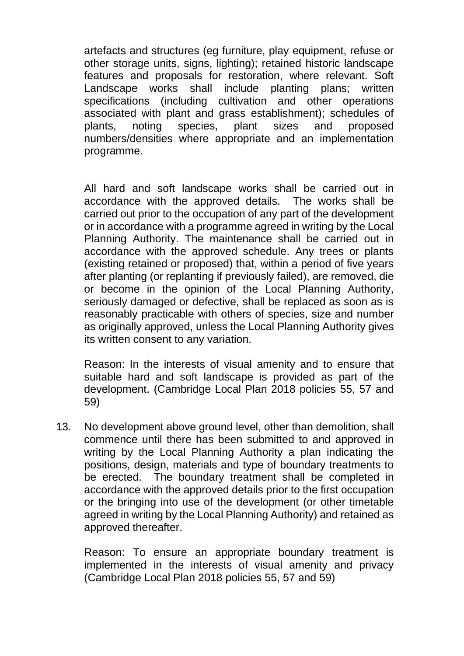artefacts and structures (eg furniture, play equipment, refuse or other storage units, signs, lighting); retained historic landscape features and proposals for restoration, where relevant. Soft Landscape works shall include planting plans; written specifications (including cultivation and other operations associated with plant and grass establishment); schedules of plants, noting species, plant sizes and proposed numbers/densities where appropriate and an implementation programme.

All hard and soft landscape works shall be carried out in accordance with the approved details. The works shall be carried out prior to the occupation of any part of the development or in accordance with a programme agreed in writing by the Local Planning Authority. The maintenance shall be carried out in accordance with the approved schedule. Any trees or plants (existing retained or proposed) that, within a period of five years after planting (or replanting if previously failed), are removed, die or become in the opinion of the Local Planning Authority, seriously damaged or defective, shall be replaced as soon as is reasonably practicable with others of species, size and number as originally approved, unless the Local Planning Authority gives its written consent to any variation.

Reason: In the interests of visual amenity and to ensure that suitable hard and soft landscape is provided as part of the development. (Cambridge Local Plan 2018 policies 55, 57 and 59)

13. No development above ground level, other than demolition, shall commence until there has been submitted to and approved in writing by the Local Planning Authority a plan indicating the positions, design, materials and type of boundary treatments to be erected. The boundary treatment shall be completed in accordance with the approved details prior to the first occupation or the bringing into use of the development (or other timetable agreed in writing by the Local Planning Authority) and retained as approved thereafter.

Reason: To ensure an appropriate boundary treatment is implemented in the interests of visual amenity and privacy (Cambridge Local Plan 2018 policies 55, 57 and 59)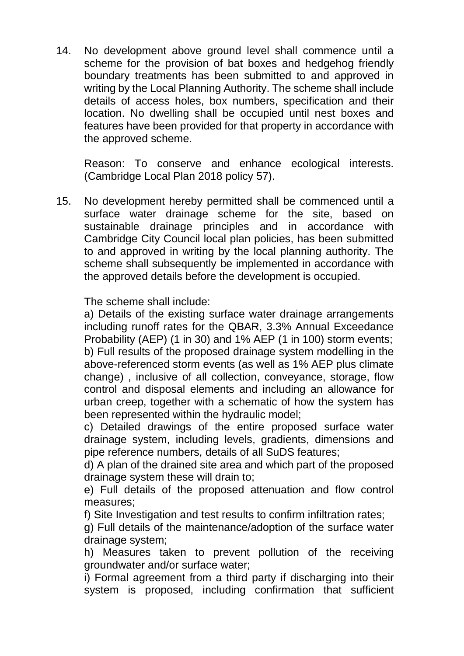14. No development above ground level shall commence until a scheme for the provision of bat boxes and hedgehog friendly boundary treatments has been submitted to and approved in writing by the Local Planning Authority. The scheme shall include details of access holes, box numbers, specification and their location. No dwelling shall be occupied until nest boxes and features have been provided for that property in accordance with the approved scheme.

Reason: To conserve and enhance ecological interests. (Cambridge Local Plan 2018 policy 57).

15. No development hereby permitted shall be commenced until a surface water drainage scheme for the site, based on sustainable drainage principles and in accordance with Cambridge City Council local plan policies, has been submitted to and approved in writing by the local planning authority. The scheme shall subsequently be implemented in accordance with the approved details before the development is occupied.

The scheme shall include:

a) Details of the existing surface water drainage arrangements including runoff rates for the QBAR, 3.3% Annual Exceedance Probability (AEP) (1 in 30) and 1% AEP (1 in 100) storm events; b) Full results of the proposed drainage system modelling in the above-referenced storm events (as well as 1% AEP plus climate change) , inclusive of all collection, conveyance, storage, flow control and disposal elements and including an allowance for urban creep, together with a schematic of how the system has been represented within the hydraulic model;

c) Detailed drawings of the entire proposed surface water drainage system, including levels, gradients, dimensions and pipe reference numbers, details of all SuDS features;

d) A plan of the drained site area and which part of the proposed drainage system these will drain to;

e) Full details of the proposed attenuation and flow control measures;

f) Site Investigation and test results to confirm infiltration rates;

g) Full details of the maintenance/adoption of the surface water drainage system;

h) Measures taken to prevent pollution of the receiving groundwater and/or surface water;

i) Formal agreement from a third party if discharging into their system is proposed, including confirmation that sufficient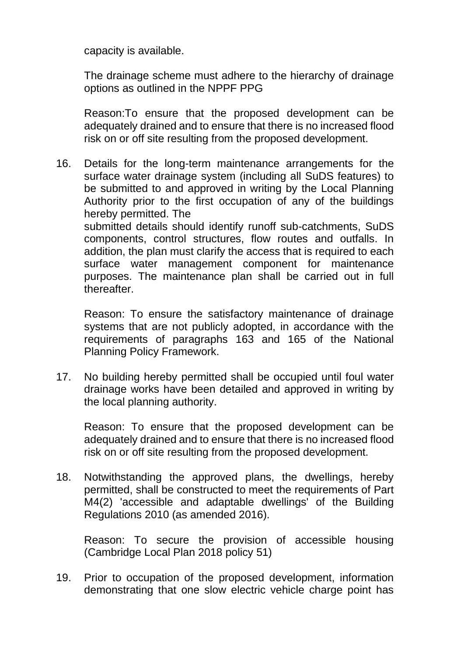capacity is available.

The drainage scheme must adhere to the hierarchy of drainage options as outlined in the NPPF PPG

Reason:To ensure that the proposed development can be adequately drained and to ensure that there is no increased flood risk on or off site resulting from the proposed development.

16. Details for the long-term maintenance arrangements for the surface water drainage system (including all SuDS features) to be submitted to and approved in writing by the Local Planning Authority prior to the first occupation of any of the buildings hereby permitted. The submitted details should identify runoff sub-catchments, SuDS components, control structures, flow routes and outfalls. In addition, the plan must clarify the access that is required to each surface water management component for maintenance purposes. The maintenance plan shall be carried out in full thereafter.

Reason: To ensure the satisfactory maintenance of drainage systems that are not publicly adopted, in accordance with the requirements of paragraphs 163 and 165 of the National Planning Policy Framework.

17. No building hereby permitted shall be occupied until foul water drainage works have been detailed and approved in writing by the local planning authority.

Reason: To ensure that the proposed development can be adequately drained and to ensure that there is no increased flood risk on or off site resulting from the proposed development.

18. Notwithstanding the approved plans, the dwellings, hereby permitted, shall be constructed to meet the requirements of Part M4(2) 'accessible and adaptable dwellings' of the Building Regulations 2010 (as amended 2016).

Reason: To secure the provision of accessible housing (Cambridge Local Plan 2018 policy 51)

19. Prior to occupation of the proposed development, information demonstrating that one slow electric vehicle charge point has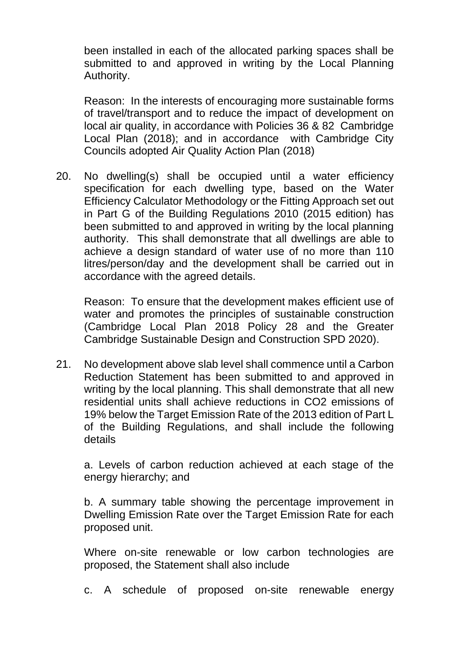been installed in each of the allocated parking spaces shall be submitted to and approved in writing by the Local Planning Authority.

Reason: In the interests of encouraging more sustainable forms of travel/transport and to reduce the impact of development on local air quality, in accordance with Policies 36 & 82 Cambridge Local Plan (2018); and in accordance with Cambridge City Councils adopted Air Quality Action Plan (2018)

20. No dwelling(s) shall be occupied until a water efficiency specification for each dwelling type, based on the Water Efficiency Calculator Methodology or the Fitting Approach set out in Part G of the Building Regulations 2010 (2015 edition) has been submitted to and approved in writing by the local planning authority. This shall demonstrate that all dwellings are able to achieve a design standard of water use of no more than 110 litres/person/day and the development shall be carried out in accordance with the agreed details.

Reason: To ensure that the development makes efficient use of water and promotes the principles of sustainable construction (Cambridge Local Plan 2018 Policy 28 and the Greater Cambridge Sustainable Design and Construction SPD 2020).

21. No development above slab level shall commence until a Carbon Reduction Statement has been submitted to and approved in writing by the local planning. This shall demonstrate that all new residential units shall achieve reductions in CO2 emissions of 19% below the Target Emission Rate of the 2013 edition of Part L of the Building Regulations, and shall include the following details

a. Levels of carbon reduction achieved at each stage of the energy hierarchy; and

b. A summary table showing the percentage improvement in Dwelling Emission Rate over the Target Emission Rate for each proposed unit.

Where on-site renewable or low carbon technologies are proposed, the Statement shall also include

c. A schedule of proposed on-site renewable energy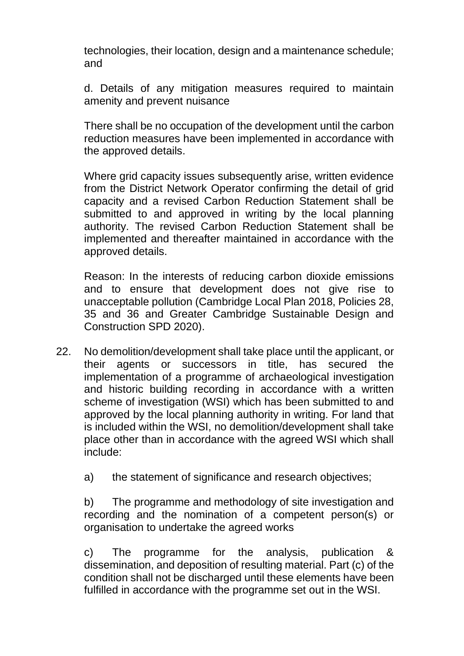technologies, their location, design and a maintenance schedule; and

d. Details of any mitigation measures required to maintain amenity and prevent nuisance

There shall be no occupation of the development until the carbon reduction measures have been implemented in accordance with the approved details.

Where grid capacity issues subsequently arise, written evidence from the District Network Operator confirming the detail of grid capacity and a revised Carbon Reduction Statement shall be submitted to and approved in writing by the local planning authority. The revised Carbon Reduction Statement shall be implemented and thereafter maintained in accordance with the approved details.

Reason: In the interests of reducing carbon dioxide emissions and to ensure that development does not give rise to unacceptable pollution (Cambridge Local Plan 2018, Policies 28, 35 and 36 and Greater Cambridge Sustainable Design and Construction SPD 2020).

- 22. No demolition/development shall take place until the applicant, or their agents or successors in title, has secured the implementation of a programme of archaeological investigation and historic building recording in accordance with a written scheme of investigation (WSI) which has been submitted to and approved by the local planning authority in writing. For land that is included within the WSI, no demolition/development shall take place other than in accordance with the agreed WSI which shall include:
	- a) the statement of significance and research objectives;

b) The programme and methodology of site investigation and recording and the nomination of a competent person(s) or organisation to undertake the agreed works

c) The programme for the analysis, publication & dissemination, and deposition of resulting material. Part (c) of the condition shall not be discharged until these elements have been fulfilled in accordance with the programme set out in the WSI.